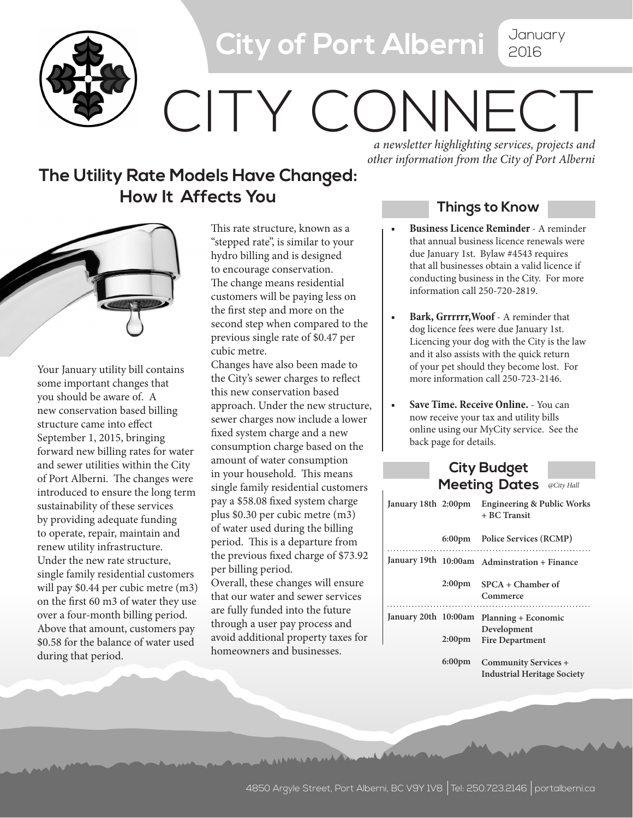

## **City of Port Alberni** January

## 2016

# CITY CONNECT

#### **The Utility Rate Models Have Changed: How It Affects You**

*a newsletter highlighting services, projects and other information from the City of Port Alberni*

Your January utility bill contains some important changes that you should be aware of. A new conservation based billing structure came into effect September 1, 2015, bringing forward new billing rates for water and sewer utilities within the City of Port Alberni. The changes were introduced to ensure the long term sustainability of these services by providing adequate funding to operate, repair, maintain and renew utility infrastructure. Under the new rate structure, single family residential customers will pay \$0.44 per cubic metre (m3) on the first 60 m3 of water they use over a four-month billing period. Above that amount, customers pay \$0.58 for the balance of water used during that period.

This rate structure, known as a "stepped rate", is similar to your hydro billing and is designed to encourage conservation. The change means residential customers will be paying less on the first step and more on the second step when compared to the previous single rate of \$0.47 per cubic metre.

Changes have also been made to the City's sewer charges to reflect this new conservation based approach. Under the new structure, sewer charges now include a lower fixed system charge and a new consumption charge based on the amount of water consumption in your household. This means single family residential customers pay a \$58.08 fixed system charge plus \$0.30 per cubic metre (m3) of water used during the billing period. This is a departure from the previous fixed charge of \$73.92 per billing period.

Overall, these changes will ensure that our water and sewer services are fully funded into the future through a user pay process and avoid additional property taxes for homeowners and businesses.

in in mineral de

#### **Things to Know**

- **Business Licence Reminder** A reminder that annual business licence renewals were due January 1st. Bylaw #4543 requires that all businesses obtain a valid licence if conducting business in the City. For more information call 250-720-2819.
- **Bark, Grrrrrr, Woof** A reminder that dog licence fees were due January 1st. Licencing your dog with the City is the law and it also assists with the quick return of your pet should they become lost. For more information call 250-723-2146.
- **Save Time. Receive Online.** You can now receive your tax and utility bills online using our MyCity service. See the back page for details.

#### **City Budget Meeting Dates** *@City Hall*

| January 18th 2:00pm  |                    | <b>Engineering &amp; Public Works</b><br>+ BC Transit      |
|----------------------|--------------------|------------------------------------------------------------|
|                      |                    | 6:00pm Police Services (RCMP)                              |
|                      |                    | January 19th 10:00am Adminstration + Finance               |
|                      |                    | $2:00 \text{pm}$ SPCA + Chamber of<br>Commerce             |
|                      |                    |                                                            |
| January 20th 10:00am |                    | Planning + Economic                                        |
|                      | 2:00 <sub>pm</sub> | Development<br><b>Fire Department</b>                      |
|                      | 6:00 <sub>pm</sub> | Community Services +<br><b>Industrial Heritage Society</b> |
|                      |                    |                                                            |